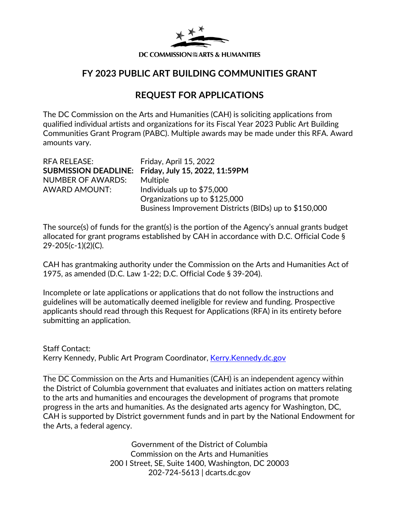

## **FY 2023 PUBLIC ART BUILDING COMMUNITIES GRANT**

# **REQUEST FOR APPLICATIONS**

The DC Commission on the Arts and Humanities (CAH) is soliciting applications from qualified individual artists and organizations for its Fiscal Year 2023 Public Art Building Communities Grant Program (PABC). Multiple awards may be made under this RFA. Award amounts vary.

| <b>RFA RELEASE:</b>         | Friday, April 15, 2022                                |
|-----------------------------|-------------------------------------------------------|
| <b>SUBMISSION DEADLINE:</b> | Friday, July 15, 2022, 11:59PM                        |
| <b>NUMBER OF AWARDS:</b>    | Multiple                                              |
| <b>AWARD AMOUNT:</b>        | Individuals up to \$75,000                            |
|                             | Organizations up to \$125,000                         |
|                             | Business Improvement Districts (BIDs) up to \$150,000 |

The source(s) of funds for the grant(s) is the portion of the Agency's annual grants budget allocated for grant programs established by CAH in accordance with D.C. Official Code § 29-205(c-1)(2)(C).

CAH has grantmaking authority under the Commission on the Arts and Humanities Act of 1975, as amended (D.C. Law 1-22; D.C. Official Code § 39-204).

Incomplete or late applications or applications that do not follow the instructions and guidelines will be automatically deemed ineligible for review and funding. Prospective applicants should read through this Request for Applications (RFA) in its entirety before submitting an application.

Staff Contact: Kerry Kennedy, Public Art Program Coordinator[,](mailto:alissa.maru@dc.gov) [Kerry.Kennedy.dc.gov](mailto:Kerry.Kennedy@dc.gov)

The DC Commission on the Arts and Humanities (CAH) is an independent agency within the District of Columbia government that evaluates and initiates action on matters relating to the arts and humanities and encourages the development of programs that promote progress in the arts and humanities. As the designated arts agency for Washington, DC, CAH is supported by District government funds and in part by the National Endowment for the Arts, a federal agency.

> Government of the District of Columbia Commission on the Arts and Humanities 200 I Street, SE, Suite 1400, Washington, DC 20003 202-724-5613 | dcarts.dc.gov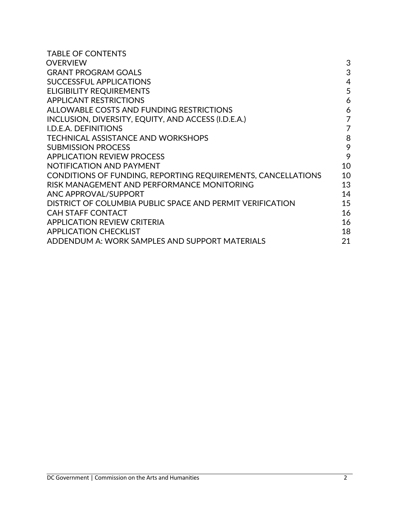<span id="page-1-0"></span>

| <b>TABLE OF CONTENTS</b>                                            |                |
|---------------------------------------------------------------------|----------------|
| <b>OVERVIEW</b>                                                     | 3              |
| <b>GRANT PROGRAM GOALS</b>                                          | 3              |
| SUCCESSFUL APPLICATIONS                                             | 4              |
| <b>ELIGIBILITY REQUIREMENTS</b>                                     | 5              |
| <b>APPLICANT RESTRICTIONS</b>                                       | 6              |
| ALLOWABLE COSTS AND FUNDING RESTRICTIONS                            | 6              |
| INCLUSION, DIVERSITY, EQUITY, AND ACCESS (I.D.E.A.)                 | $\overline{7}$ |
| <b>I.D.E.A. DEFINITIONS</b>                                         | $\overline{7}$ |
| TECHNICAL ASSISTANCE AND WORKSHOPS                                  | 8              |
| <b>SUBMISSION PROCESS</b>                                           | 9              |
| <b>APPLICATION REVIEW PROCESS</b>                                   | 9              |
| NOTIFICATION AND PAYMENT                                            | 10             |
| <b>CONDITIONS OF FUNDING, REPORTING REQUIREMENTS, CANCELLATIONS</b> | 10             |
| RISK MANAGEMENT AND PERFORMANCE MONITORING                          | 13             |
| ANC APPROVAL/SUPPORT                                                | 14             |
| DISTRICT OF COLUMBIA PUBLIC SPACE AND PERMIT VERIFICATION           | 15             |
| <b>CAH STAFF CONTACT</b>                                            | 16             |
| <b>APPLICATION REVIEW CRITERIA</b>                                  | 16             |
| <b>APPLICATION CHECKLIST</b>                                        | 18             |
| ADDENDUM A: WORK SAMPLES AND SUPPORT MATERIALS                      | 21             |
|                                                                     |                |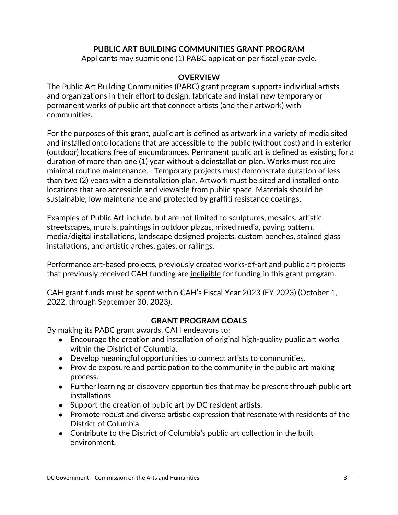#### **PUBLIC ART BUILDING [COMMUNITIES](#page-20-0) GRANT PROGRAM**

Applicants may submit one (1) PABC application per fiscal year cycle.

#### **OVERVIEW**

The Public Art Building Communities (PABC) grant program supports individual artists and organizations in their effort to design, fabricate and install new temporary or permanent works of public art that connect artists (and their artwork) with communities.

For the purposes of this grant, public art is defined as artwork in a variety of media sited and installed onto locations that are accessible to the public (without cost) and in exterior (outdoor) locations free of encumbrances. Permanent public art is defined as existing for a duration of more than one (1) year without a deinstallation plan. Works must require minimal routine maintenance. Temporary projects must demonstrate duration of less than two (2) years with a deinstallation plan. Artwork must be sited and installed onto locations that are accessible and viewable from public space. Materials should be sustainable, low maintenance and protected by graffiti resistance coatings.

Examples of Public Art include, but are not limited to sculptures, mosaics, artistic streetscapes, murals, paintings in outdoor plazas, mixed media, paving pattern, media/digital installations, landscape designed projects, custom benches, stained glass installations, and artistic arches, gates, or railings.

Performance art-based projects, previously created works-of-art and public art projects that previously received CAH funding are ineligible for funding in this grant program.

CAH grant funds must be spent within CAH's Fiscal Year 2023 (FY 2023) (October 1, 2022, through September 30, 2023).

#### <span id="page-2-0"></span>**GRANT PROGRAM GOALS**

By making its PABC grant awards, CAH endeavors to:

- Encourage the creation and installation of original high-quality public art works within the District of Columbia.
- Develop meaningful opportunities to connect artists to communities.
- Provide exposure and participation to the community in the public art making process.
- Further learning or discovery opportunities that may be present through public art installations.
- Support the creation of public art by DC resident artists.
- Promote robust and diverse artistic expression that resonate with residents of the District of Columbia.
- Contribute to the District of Columbia's public art collection in the built environment.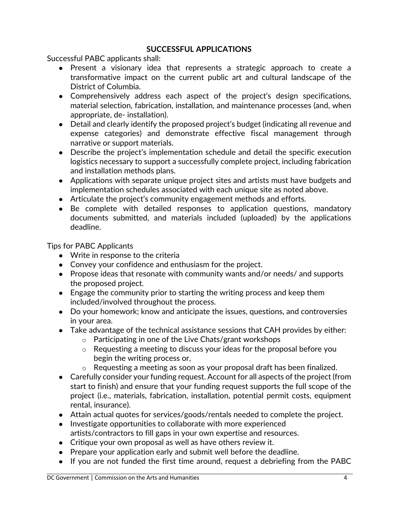#### <span id="page-3-0"></span>**SUCCESSFUL APPLICATIONS**

Successful PABC applicants shall:

- Present a visionary idea that represents a strategic approach to create a transformative impact on the current public art and cultural landscape of the District of Columbia.
- Comprehensively address each aspect of the project's design specifications, material selection, fabrication, installation, and maintenance processes (and, when appropriate, de- installation).
- Detail and clearly identify the proposed project's budget (indicating all revenue and expense categories) and demonstrate effective fiscal management through narrative or support materials.
- Describe the project's implementation schedule and detail the specific execution logistics necessary to support a successfully complete project, including fabrication and installation methods plans.
- Applications with separate unique project sites and artists must have budgets and implementation schedules associated with each unique site as noted above.
- Articulate the project's community engagement methods and efforts.
- Be complete with detailed responses to application questions, mandatory documents submitted, and materials included (uploaded) by the applications deadline.

Tips for PABC Applicants

- Write in response to the criteria
- Convey your confidence and enthusiasm for the project.
- Propose ideas that resonate with community wants and/or needs/ and supports the proposed project.
- Engage the community prior to starting the writing process and keep them included/involved throughout the process.
- Do your homework; know and anticipate the issues, questions, and controversies in your area.
- Take advantage of the technical assistance sessions that CAH provides by either:
	- o Participating in one of the Live Chats/grant workshops
	- $\circ$  Requesting a meeting to discuss your ideas for the proposal before you begin the writing process or,
	- o Requesting a meeting as soon as your proposal draft has been finalized.
- Carefully consider your funding request. Account for all aspects of the project (from start to finish) and ensure that your funding request supports the full scope of the project (i.e., materials, fabrication, installation, potential permit costs, equipment rental, insurance).
- Attain actual quotes for services/goods/rentals needed to complete the project.
- Investigate opportunities to collaborate with more experienced artists/contractors to fill gaps in your own expertise and resources.
- Critique your own proposal as well as have others review it.
- Prepare your application early and submit well before the deadline.
- If you are not funded the first time around, request a debriefing from the PABC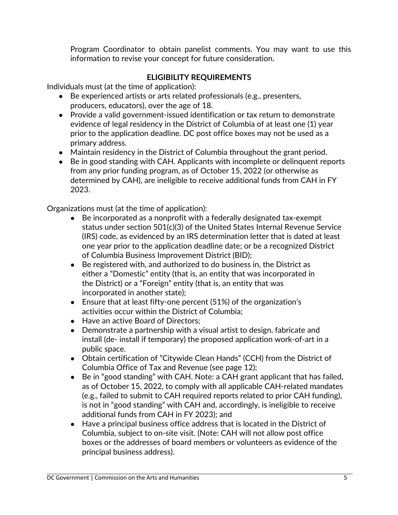Program Coordinator to obtain panelist comments. You may want to use this information to revise your concept for future consideration.

### <span id="page-4-0"></span>**ELIGIBILITY REQUIREMENTS**

Individuals must (at the time of application):

- Be experienced artists or arts related professionals (e.g., presenters, producers, educators), over the age of 18.
- Provide a valid government-issued identification or tax return to demonstrate evidence of legal residency in the District of Columbia of at least one (1) year prior to the application deadline. DC post office boxes may not be used as a primary address.
- Maintain residency in the District of Columbia throughout the grant period.
- Be in good standing with CAH. Applicants with incomplete or delinguent reports from any prior funding program, as of October 15, 2022 (or otherwise as determined by CAH), are ineligible to receive additional funds from CAH in FY 2023.

Organizations must (at the time of application):

- Be incorporated as a nonprofit with a federally designated tax-exempt status under section 501(c)(3) of the United States Internal Revenue Service (IRS) code, as evidenced by an IRS determination letter that is dated at least one year prior to the application deadline date; or be a recognized District of Columbia Business Improvement District (BID);
- Be registered with, and authorized to do business in, the District as either a "Domestic" entity (that is, an entity that was incorporated in the District) or a "Foreign" entity (that is, an entity that was incorporated in another state);
- Ensure that at least fifty-one percent (51%) of the organization's activities occur within the District of Columbia;
- Have an active Board of Directors:
- Demonstrate a partnership with a visual artist to design, fabricate and install (de- install if temporary) the proposed application work-of-art in a public space.
- Obtain certification of "Citywide Clean Hands" (CCH) from the District of Columbia Office of Tax and Revenue (see page 12);
- Be in "good standing" with CAH. Note: a CAH grant applicant that has failed, as of October 15, 2022, to comply with all applicable CAH-related mandates (e.g., failed to submit to CAH required reports related to prior CAH funding), is not in "good standing" with CAH and, accordingly, is ineligible to receive additional funds from CAH in FY 2023); and
- Have a principal business office address that is located in the District of Columbia, subject to on-site visit. (Note: CAH will not allow post office boxes or the addresses of board members or volunteers as evidence of the principal business address).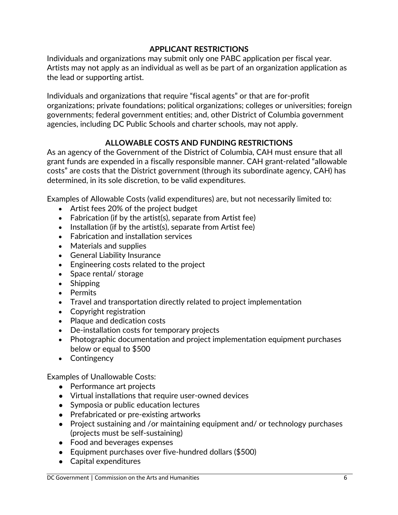#### <span id="page-5-1"></span><span id="page-5-0"></span>**APPLICANT RESTRICTIONS**

Individuals and organizations may submit only one PABC application per fiscal year. Artists may not apply as an individual as well as be part of an organization application as the lead or supporting artist.

Individuals and organizations that require "fiscal agents" or that are for-profit organizations; private foundations; political organizations; colleges or universities; foreign governments; federal government entities; and, other District of Columbia government agencies, including DC Public Schools and charter schools, may not apply.

### **ALLOWABLE COSTS AND FUNDING RESTRICTIONS**

As an agency of the Government of the District of Columbia, CAH must ensure that all grant funds are expended in a fiscally responsible manner. CAH grant-related "allowable costs" are costs that the District government (through its subordinate agency, CAH) has determined, in its sole discretion, to be valid expenditures.

Examples of Allowable Costs (valid expenditures) are, but not necessarily limited to:

- Artist fees 20% of the project budget
- Fabrication (if by the artist(s), separate from Artist fee)
- Installation (if by the artist(s), separate from Artist fee)
- Fabrication and installation services
- Materials and supplies
- General Liability Insurance
- Engineering costs related to the project
- Space rental/ storage
- Shipping
- Permits
- Travel and transportation directly related to project implementation
- Copyright registration
- Plaque and dedication costs
- De-installation costs for temporary projects
- Photographic documentation and project implementation equipment purchases below or equal to \$500
- Contingency

Examples of Unallowable Costs:

- Performance art projects
- Virtual installations that require user-owned devices
- Symposia or public education lectures
- Prefabricated or pre-existing artworks
- Project sustaining and /or maintaining equipment and/ or technology purchases (projects must be self-sustaining)
- Food and beverages expenses
- Equipment purchases over five-hundred dollars (\$500)
- Capital expenditures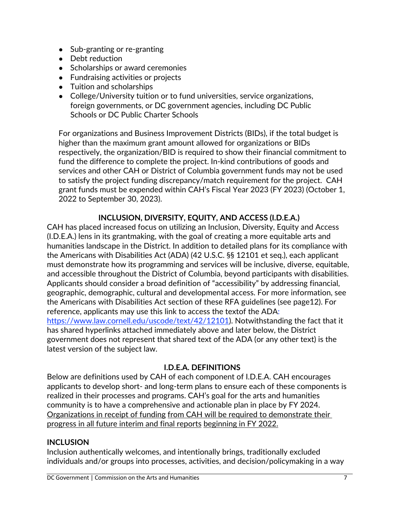- Sub-granting or re-granting
- Debt reduction
- Scholarships or award ceremonies
- Fundraising activities or projects
- Tuition and scholarships
- College/University tuition or to fund universities, service organizations, foreign governments, or DC government agencies, including DC Public Schools or DC Public Charter Schools

For organizations and Business Improvement Districts (BIDs), if the total budget is higher than the maximum grant amount allowed for organizations or BIDs respectively, the organization/BID is required to show their financial commitment to fund the difference to complete the project. In-kind contributions of goods and services and other CAH or District of Columbia government funds may not be used to satisfy the project funding discrepancy/match requirement for the project. CAH grant funds must be expended within CAH's Fiscal Year 2023 (FY 2023) (October 1, 2022 to September 30, 2023).

## <span id="page-6-0"></span>**INCLUSION, DIVERSITY, EQUITY, AND ACCESS (I.D.E.A.)**

CAH has placed increased focus on utilizing an Inclusion, Diversity, Equity and Access (I.D.E.A.) lens in its grantmaking, with the goal of creating a more equitable arts and humanities landscape in the District. In addition to detailed plans for its compliance with the Americans with Disabilities Act (ADA) (42 U.S.C. §§ 12101 et seq.), each applicant must demonstrate how its programming and services will be inclusive, diverse, equitable, and accessible throughout the District of Columbia, beyond participants with disabilities. Applicants should consider a broad definition of "accessibility" by addressing financial, geographic, demographic, cultural and developmental access. For more information, see the Americans with Disabilities Act section of these RFA guidelines (see page12). For reference, applicants may use this link to access the textof the ADA: https[://w](http://www.law.cornell.edu/uscode/text/42/12101))w[w.law.cornell.edu/uscode/text/42/12101\).](http://www.law.cornell.edu/uscode/text/42/12101)) Notwithstanding the fact that it has shared hyperlinks attached immediately above and later below, the District government does not represent that shared text of the ADA (or any other text) is the latest version of the subject law.

## <span id="page-6-1"></span>**I.D.E.A. DEFINITIONS**

Below are definitions used by CAH of each component of I.D.E.A. CAH encourages applicants to develop short- and long-term plans to ensure each of these components is realized in their processes and programs. CAH's goal for the arts and humanities community is to have a comprehensive and actionable plan in place by FY 2024. Organizations in receipt of funding from CAH will be required to demonstrate their progress in all future interim and final reports beginning in FY 2022.

### **INCLUSION**

Inclusion authentically welcomes, and intentionally brings, traditionally excluded individuals and/or groups into processes, activities, and decision/policymaking in a way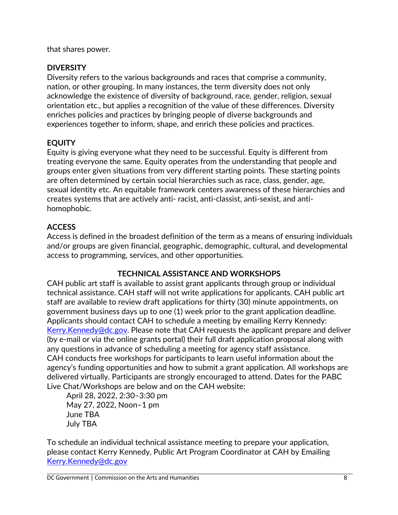that shares power.

## **DIVERSITY**

Diversity refers to the various backgrounds and races that comprise a community, nation, or other grouping. In many instances, the term diversity does not only acknowledge the existence of diversity of background, race, gender, religion, sexual orientation etc., but applies a recognition of the value of these differences. Diversity enriches policies and practices by bringing people of diverse backgrounds and experiences together to inform, shape, and enrich these policies and practices.

## **EQUITY**

Equity is giving everyone what they need to be successful. Equity is different from treating everyone the same. Equity operates from the understanding that people and groups enter given situations from very different starting points. These starting points are often determined by certain social hierarchies such as race, class, gender, age, sexual identity etc. An equitable framework centers awareness of these hierarchies and creates systems that are actively anti- racist, anti-classist, anti-sexist, and antihomophobic.

## **ACCESS**

Access is defined in the broadest definition of the term as a means of ensuring individuals and/or groups are given financial, geographic, demographic, cultural, and developmental access to programming, services, and other opportunities.

### <span id="page-7-0"></span>**TECHNICAL ASSISTANCE AND WORKSHOPS**

CAH public art staff is available to assist grant applicants through group or individual technical assistance. CAH staff will not write applications for applicants. CAH public art staff are available to review draft applications for thirty (30) minute appointments, on government business days up to one (1) week prior to the grant application deadline. Applicants should contact CAH to schedule a meeting by emailing Kerry Kennedy: [Kerry.Kennedy@dc.gov.](mailto:Alissa.maru@dc.gov) Please note that CAH requests the applicant prepare and deliver (by e-mail or via the online grants portal) their full draft application proposal along with any questions in advance of scheduling a meeting for agency staff assistance. CAH conducts free workshops for participants to learn useful information about the agency's funding opportunities and how to submit a grant application. All workshops are delivered virtually. Participants are strongly encouraged to attend. Dates for the PABC Live Chat/Workshops are below and on the CAH website:

April 28, 2022, 2:30–3:30 pm May 27, 2022, Noon–1 pm June TBA July TBA

To schedule an individual technical assistance meeting to prepare your application, please contact Kerry Kennedy, Public Art Program Coordinator at CAH by Emailing [Kerry.Kennedy@dc.gov](mailto:Aliss.Maru@dc.gov)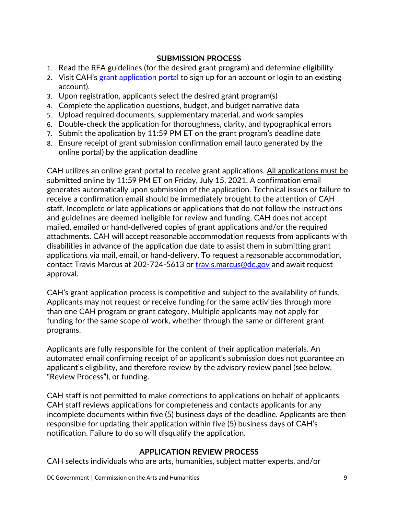### <span id="page-8-0"></span>**SUBMISSION PROCESS**

- 1. Read the RFA guidelines (for the desired grant program) and determine eligibility
- 2. Visit CAH's [grant application portal](https://jlweb.co/prod1/portal/portal.jsp?c=4193775&p=6947885&g=6947905) to sign up for an account or login to an existing account).
- 3. Upon registration, applicants select the desired grant program(s)
- 4. Complete the application questions, budget, and budget narrative data
- 5. Upload required documents, supplementary material, and work samples
- 6. Double-check the application for thoroughness, clarity, and typographical errors
- 7. Submit the application by 11:59 PM ET on the grant program's deadline date
- 8. Ensure receipt of grant submission confirmation email (auto generated by the online portal) by the application deadline

CAH utilizes an online grant portal to receive grant applications. All applications must be submitted online by 11:59 PM ET on Friday, July 15, 2021. A confirmation email generates automatically upon submission of the application. Technical issues or failure to receive a confirmation email should be immediately brought to the attention of CAH staff. Incomplete or late applications or applications that do not follow the instructions and guidelines are deemed ineligible for review and funding. CAH does not accept mailed, emailed or hand-delivered copies of grant applications and/or the required attachments. CAH will accept reasonable accommodation requests from applicants with disabilities in advance of the application due date to assist them in submitting grant applications via mail, email, or hand-delivery. To request a reasonable accommodation, contact Travis Marcus at 202-724-5613 or [travis.marcus@dc.gov](mailto:travis.marcus@dc.gov) and await request approval.

CAH's grant application process is competitive and subject to the availability of funds. Applicants may not request or receive funding for the same activities through more than one CAH program or grant category. Multiple applicants may not apply for funding for the same scope of work, whether through the same or different grant programs.

Applicants are fully responsible for the content of their application materials. An automated email confirming receipt of an applicant's submission does not guarantee an applicant's eligibility, and therefore review by the advisory review panel (see below, "Review Process"), or funding.

CAH staff is not permitted to make corrections to applications on behalf of applicants. CAH staff reviews applications for completeness and contacts applicants for any incomplete documents within five (5) business days of the deadline. Applicants are then responsible for updating their application within five (5) business days of CAH's notification. Failure to do so will disqualify the application.

### <span id="page-8-1"></span>**APPLICATION REVIEW PROCESS**

CAH selects individuals who are arts, humanities, subject matter experts, and/or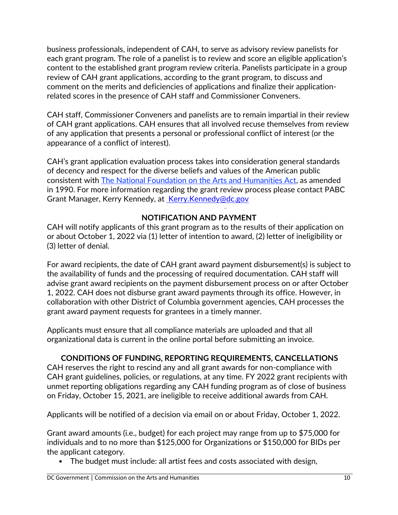business professionals, independent of CAH, to serve as advisory review panelists for each grant program. The role of a panelist is to review and score an eligible application's content to the established grant program review criteria. Panelists participate in a group review of CAH grant applications, according to the grant program, to discuss and comment on the merits and deficiencies of applications and finalize their applicationrelated scores in the presence of CAH staff and Commissioner Conveners.

CAH staff, Commissioner Conveners and panelists are to remain impartial in their review of CAH grant applications. CAH ensures that all involved recuse themselves from review of any application that presents a personal or professional conflict of interest (or the appearance of a conflict of interest).

CAH's grant application evaluation process takes into consideration general standards of decency and respect for the diverse beliefs and values of the American public consistent with The National Foundation on the Arts and Humanities Act, as amended in 1990. For more information regarding the grant review process please contact PABC Grant Manager, Kerry Kennedy, at [Kerry.Kennedy@dc.gov](mailto:Alissa.Maru@dc.gov)

## <span id="page-9-1"></span><span id="page-9-0"></span>**NOTIFICATION AND PAYMENT**

CAH will notify applicants of this grant program as to the results of their application on or about October 1, 2022 via (1) letter of intention to award, (2) letter of ineligibility or (3) letter of denial.

For award recipients, the date of CAH grant award payment disbursement(s) is subject to the availability of funds and the processing of required documentation. CAH staff will advise grant award recipients on the payment disbursement process on or after October 1, 2022. CAH does not disburse grant award payments through its office. However, in collaboration with other District of Columbia government agencies, CAH processes the grant award payment requests for grantees in a timely manner.

Applicants must ensure that all compliance materials are uploaded and that all organizational data is current in the online portal before submitting an invoice.

## **CONDITIONS OF FUNDING, REPORTING REQUIREMENTS, CANCELLATIONS**

CAH reserves the right to rescind any and all grant awards for non-compliance with CAH grant guidelines, policies, or regulations, at any time. FY 2022 grant recipients with unmet reporting obligations regarding any CAH funding program as of close of business on Friday, October 15, 2021, are ineligible to receive additional awards from CAH.

Applicants will be notified of a decision via email on or about Friday, October 1, 2022.

Grant award amounts (i.e., budget) for each project may range from up to \$75,000 for individuals and to no more than \$125,000 for Organizations or \$150,000 for BIDs per the applicant category.

• The budget must include: all artist fees and costs associated with design,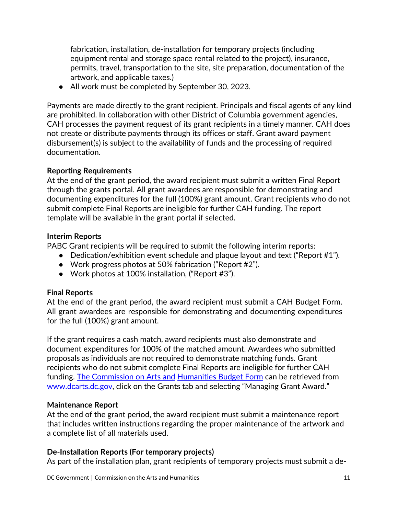fabrication, installation, de-installation for temporary projects (including equipment rental and storage space rental related to the project), insurance, permits, travel, transportation to the site, site preparation, documentation of the artwork, and applicable taxes.)

● All work must be completed by September 30, 2023.

Payments are made directly to the grant recipient. Principals and fiscal agents of any kind are prohibited. In collaboration with other District of Columbia government agencies, CAH processes the payment request of its grant recipients in a timely manner. CAH does not create or distribute payments through its offices or staff. Grant award payment disbursement(s) is subject to the availability of funds and the processing of required documentation.

#### **Reporting Requirements**

At the end of the grant period, the award recipient must submit a written Final Report through the grants portal. All grant awardees are responsible for demonstrating and documenting expenditures for the full (100%) grant amount. Grant recipients who do not submit complete Final Reports are ineligible for further CAH funding. The report template will be available in the grant portal if selected.

#### **Interim Reports**

PABC Grant recipients will be required to submit the following interim reports:

- Dedication/exhibition event schedule and plaque layout and text ("Report #1").
- Work progress photos at 50% fabrication ("Report #2").
- Work photos at 100% installation, ("Report #3").

### **Final Reports**

At the end of the grant period, the award recipient must submit a CAH Budget Form. All grant awardees are responsible for demonstrating and documenting expenditures for the full (100%) grant amount.

If the grant requires a cash match, award recipients must also demonstrate and document expenditures for 100% of the matched amount. Awardees who submitted proposals as individuals are not required to demonstrate matching funds. Grant recipients who do not submit complete Final Reports are ineligible for further CAH funding. The Commission on Arts and Humanities Budget Form can be retrieved from [www.dcarts.dc.gov,](http://www.dcarts.dc.gov/) click on the Grants tab and selecting "Managing Grant Award."

### **Maintenance Report**

At the end of the grant period, the award recipient must submit a maintenance report that includes written instructions regarding the proper maintenance of the artwork and a complete list of all materials used.

### **De-Installation Reports (For temporary projects)**

As part of the installation plan, grant recipients of temporary projects must submit a de-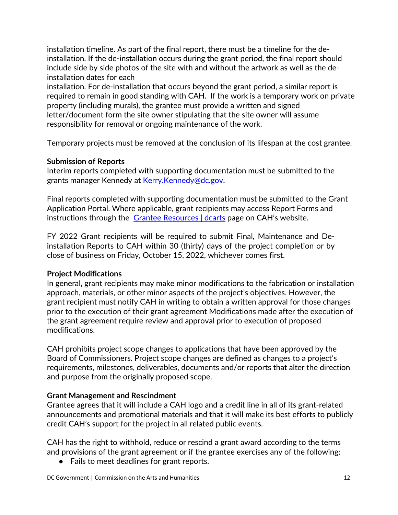installation timeline. As part of the final report, there must be a timeline for the deinstallation. If the de-installation occurs during the grant period, the final report should include side by side photos of the site with and without the artwork as well as the deinstallation dates for each

installation. For de-installation that occurs beyond the grant period, a similar report is required to remain in good standing with CAH. If the work is a temporary work on private property (including murals), the grantee must provide a written and signed letter/document form the site owner stipulating that the site owner will assume responsibility for removal or ongoing maintenance of the work.

Temporary projects must be removed at the conclusion of its lifespan at the cost grantee.

#### **Submission of Reports**

Interim reports completed with supporting documentation must be submitted to the grants manager [K](mailto:)ennedy at [Kerry.Kennedy@dc.gov](mailto:Kerry.Kennedy@dc.gov).

Final reports completed with supporting documentation must be submitted to the Grant Application Portal. Where applicable, grant recipients may access Report Forms and instructions through the [Grantee Resources | dcarts](https://dcarts.dc.gov/node/408702) page on CAH's website.

FY 2022 Grant recipients will be required to submit Final, Maintenance and Deinstallation Reports to CAH within 30 (thirty) days of the project completion or by close of business on Friday, October 15, 2022, whichever comes first.

#### **Project Modifications**

In general, grant recipients may make minor modifications to the fabrication or installation approach, materials, or other minor aspects of the project's objectives. However, the grant recipient must notify CAH in writing to obtain a written approval for those changes prior to the execution of their grant agreement Modifications made after the execution of the grant agreement require review and approval prior to execution of proposed modifications.

CAH prohibits project scope changes to applications that have been approved by the Board of Commissioners. Project scope changes are defined as changes to a project's requirements, milestones, deliverables, documents and/or reports that alter the direction and purpose from the originally proposed scope.

#### **Grant Management and Rescindment**

Grantee agrees that it will include a CAH logo and a credit line in all of its grant-related announcements and promotional materials and that it will make its best efforts to publicly credit CAH's support for the project in all related public events.

CAH has the right to withhold, reduce or rescind a grant award according to the terms and provisions of the grant agreement or if the grantee exercises any of the following:

● Fails to meet deadlines for grant reports.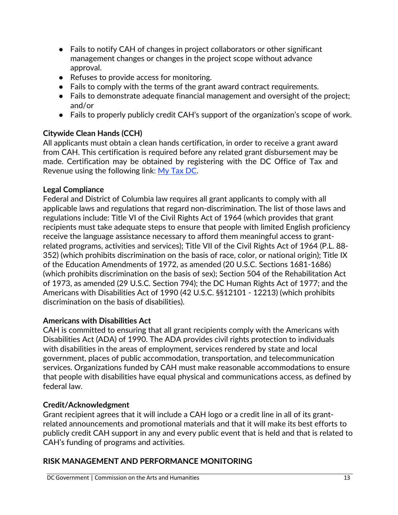- Fails to notify CAH of changes in project collaborators or other significant management changes or changes in the project scope without advance approval.
- Refuses to provide access for monitoring.
- Fails to comply with the terms of the grant award contract requirements.
- Fails to demonstrate adequate financial management and oversight of the project; and/or
- Fails to properly publicly credit CAH's support of the organization's scope of work.

## **Citywide Clean Hands (CCH)**

All applicants must obtain a clean hands certification, in order to receive a grant award from CAH. This certification is required before any related grant disbursement may be made. Certification may be obtained by registering with the DC Office of Tax and Revenue using the following link: My Tax DC.

### **Legal Compliance**

Federal and District of Columbia law requires all grant applicants to comply with all applicable laws and regulations that regard non-discrimination. The list of those laws and regulations include: Title VI of the Civil Rights Act of 1964 (which provides that grant recipients must take adequate steps to ensure that people with limited English proficiency receive the language assistance necessary to afford them meaningful access to grantrelated programs, activities and services); Title VII of the Civil Rights Act of 1964 (P.L. 88- 352) (which prohibits discrimination on the basis of race, color, or national origin); Title IX of the Education Amendments of 1972, as amended (20 U.S.C. Sections 1681-1686) (which prohibits discrimination on the basis of sex); Section 504 of the Rehabilitation Act of 1973, as amended (29 U.S.C. Section 794); the DC Human Rights Act of 1977; and the Americans with Disabilities Act of 1990 (42 U.S.C. §§12101 - 12213) (which prohibits discrimination on the basis of disabilities).

### **Americans with Disabilities Act**

CAH is committed to ensuring that all grant recipients comply with the Americans with Disabilities Act (ADA) of 1990. The ADA provides civil rights protection to individuals with disabilities in the areas of employment, services rendered by state and local government, places of public accommodation, transportation, and telecommunication services. Organizations funded by CAH must make reasonable accommodations to ensure that people with disabilities have equal physical and communications access, as defined by federal law.

### **Credit/Acknowledgment**

Grant recipient agrees that it will include a CAH logo or a credit line in all of its grantrelated announcements and promotional materials and that it will make its best efforts to publicly credit CAH support in any and every public event that is held and that is related to CAH's funding of programs and activities.

### **RISK MANAGEMENT AND PERFORMANCE MONITORING**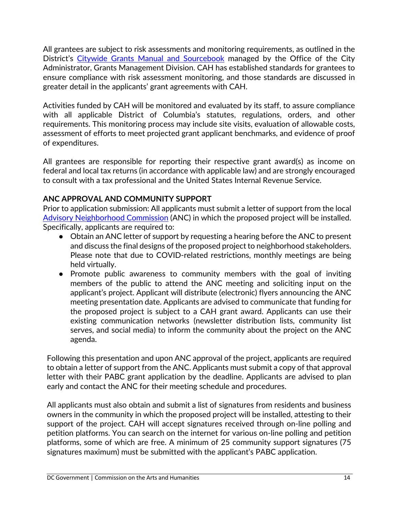All grantees are subject to risk assessments and monitoring requirements, as outlined in the District's [Citywide Grants Manual and Sourcebook](https://opgs.dc.gov/book/citywide-grants-manual-and-sourcebook) managed by the Office of the City Administrator, Grants Management Division. CAH has established standards for grantees to ensure compliance with risk assessment monitoring, and those standards are discussed in greater detail in the applicants' grant agreements with CAH.

Activities funded by CAH will be monitored and evaluated by its staff, to assure compliance with all applicable District of Columbia's statutes, regulations, orders, and other requirements. This monitoring process may include site visits, evaluation of allowable costs, assessment of efforts to meet projected grant applicant benchmarks, and evidence of proof of expenditures.

All grantees are responsible for reporting their respective grant award(s) as income on federal and local tax returns (in accordance with applicable law) and are strongly encouraged to consult with a tax professional and the United States Internal Revenue Service.

### **ANC APPROVAL AND COMMUNITY SUPPORT**

Prior to application submission: All applicants must submit a letter of support from the local [Advisory Neighborhood Commission](https://anc.dc.gov/) (ANC) in which the proposed project will be installed. Specifically, applicants are required to:

- Obtain an ANC letter of support by requesting a hearing before the ANC to present and discuss the final designs of the proposed project to neighborhood stakeholders. Please note that due to COVID-related restrictions, monthly meetings are being held virtually.
- Promote public awareness to community members with the goal of inviting members of the public to attend the ANC meeting and soliciting input on the applicant's project. Applicant will distribute (electronic) flyers announcing the ANC meeting presentation date. Applicants are advised to communicate that funding for the proposed project is subject to a CAH grant award. Applicants can use their existing communication networks (newsletter distribution lists, community list serves, and social media) to inform the community about the project on the ANC agenda.

Following this presentation and upon ANC approval of the project, applicants are required to obtain a letter of support from the ANC. Applicants must submit a copy of that approval letter with their PABC grant application by the deadline. Applicants are advised to plan early and contact the ANC for their meeting schedule and procedures.

All applicants must also obtain and submit a list of signatures from residents and business owners in the community in which the proposed project will be installed, attesting to their support of the project. CAH will accept signatures received through on-line polling and petition platforms. You can search on the internet for various on-line polling and petition platforms, some of which are free. A minimum of 25 community support signatures (75 signatures maximum) must be submitted with the applicant's PABC application.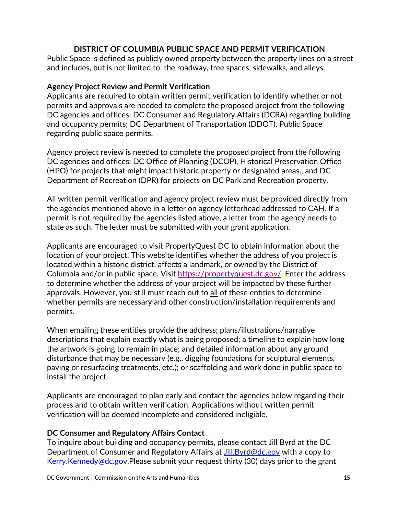#### <span id="page-14-0"></span>**DISTRICT OF COLUMBIA PUBLIC SPACE AND PERMIT VERIFICATION**

Public Space is defined as publicly owned property between the property lines on a street and includes, but is not limited to, the roadway, tree spaces, sidewalks, and alleys.

#### **Agency Project Review and Permit Verification**

Applicants are required to obtain written permit verification to identify whether or not permits and approvals are needed to complete the proposed project from the following DC agencies and offices: DC Consumer and Regulatory Affairs (DCRA) regarding building and occupancy permits; DC Department of Transportation (DDOT), Public Space regarding public space permits.

Agency project review is needed to complete the proposed project from the following DC agencies and offices: DC Office of Planning (DCOP), Historical Preservation Office (HPO) for projects that might impact historic property or designated areas., and DC Department of Recreation (DPR) for projects on DC Park and Recreation property.

All written permit verification and agency project review must be provided directly from the agencies mentioned above in a letter on agency letterhead addressed to CAH. If a permit is not required by the agencies listed above, a letter from the agency needs to state as such. The letter must be submitted with your grant application.

Applicants are encouraged to visit PropertyQuest DC to obtain information about the location of your project. This website identifies whether the address of you project is located within a historic district, affects a landmark, or owned by the District of Columbia and/or in public space. Visit [https://propertyquest.dc.gov](https://propertyquest.dc.gov/)/. Enter the address to determine whether the address of your project will be impacted by these further approvals. However, you still must reach out to all of these entities to determine whether permits are necessary and other construction/installation requirements and permits.

When emailing these entities provide the address; plans/illustrations/narrative descriptions that explain exactly what is being proposed; a timeline to explain how long the artwork is going to remain in place; and detailed information about any ground disturbance that may be necessary (e.g., digging foundations for sculptural elements, paving or resurfacing treatments, etc.); or scaffolding and work done in public space to install the project.

Applicants are encouraged to plan early and contact the agencies below regarding their process and to obtain written verification. Applications without written permit verification will be deemed incomplete and considered ineligible.

#### **DC Consumer and Regulatory Affairs Contact**

To inquire about building and occupancy permits, please contact Jill Byrd at the DC Department of Consumer and Regulatory Affairs at [Jill.Byrd@dc.gov](mailto:Jill.Byrd@dc.gov) with a copy to [Kerry.Kennedy@dc.gov.](mailto:Kerry.Kennedy@dc.gov)Please submit your request thirty (30) days prior to the grant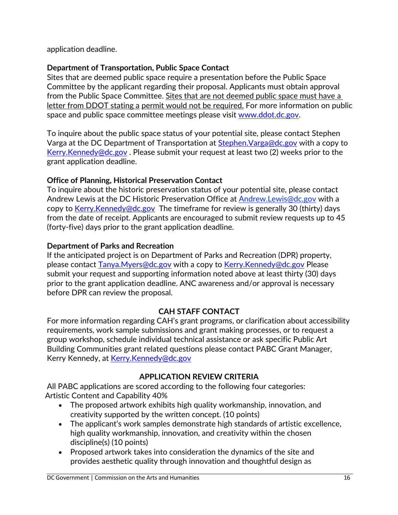application deadline.

### **Department of Transportation, Public Space Contact**

Sites that are deemed public space require a presentation before the Public Space Committee by the applicant regarding their proposal. Applicants must obtain approval from the Public Space Committee. Sites that are not deemed public space must have a letter from DDOT stating a permit would not be required. For more information on public space and public space committee meetings please visit [www.ddot.dc.gov.](http://www.ddot.dc.gov/)

To inquire about the public space status of your potential site, please contact Stephen Varga at the DC Department of Transportation at Stephen. Varga@dc.gov with a copy to [Kerry.Kennedy@dc.gov](mailto:Kerry.Kennedy@dc.gov) . Please submit your request at least two (2) weeks prior to the grant application deadline.

### **Office of Planning, Historical Preservation Contact**

To inquire about the historic preservation status of your potential site, please contact Andrew Lewis at the DC Historic Preservation Office at [Andrew.Lewis@dc.gov](mailto:Andrew.Lewis@dc.gov) with a copy to [Kerry.Kennedy@dc.gov](mailto:Kerry.Kennedy@dc.gov) The timeframe for review is generally 30 (thirty) days from the date of receipt. Applicants are encouraged to submit review requests up to 45 (forty-five) days prior to the grant application deadline.

#### **Department of Parks and Recreation**

If the anticipated project is on Department of Parks and Recreation (DPR) property, please contact Tanya. Myers@dc.gov with a copy to Kerry. Kennedy@dc.gov Please submit your request and supporting information noted above at least thirty (30) days prior to the grant application deadline. ANC awareness and/or approval is necessary before DPR can review the proposal.

### <span id="page-15-0"></span>**CAH STAFF CONTACT**

For more information regarding CAH's grant programs, or clarification about accessibility requirements, work sample submissions and grant making processes, or to request a group workshop, schedule individual technical assistance or ask specific Public Art Building Communities grant related questions please contact PABC Grant Manager, Kerry Kennedy, at [Kerry.Kennedy@dc.gov](mailto:Kerry.Kennedy@dc.gov)

### <span id="page-15-1"></span>**APPLICATION REVIEW CRITERIA**

All PABC applications are scored according to the following four categories: Artistic Content and Capability 40%

- The proposed artwork exhibits high quality workmanship, innovation, and creativity supported by the written concept. (10 points)
- The applicant's work samples demonstrate high standards of artistic excellence, high quality workmanship, innovation, and creativity within the chosen discipline(s) (10 points)
- Proposed artwork takes into consideration the dynamics of the site and provides aesthetic quality through innovation and thoughtful design as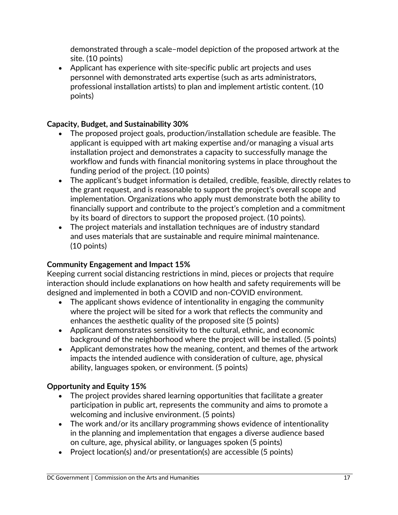demonstrated through a scale–model depiction of the proposed artwork at the site. (10 points)

• Applicant has experience with site-specific public art projects and uses personnel with demonstrated arts expertise (such as arts administrators, professional installation artists) to plan and implement artistic content. (10 points)

#### **Capacity, Budget, and Sustainability 30%**

- The proposed project goals, production/installation schedule are feasible. The applicant is equipped with art making expertise and/or managing a visual arts installation project and demonstrates a capacity to successfully manage the workflow and funds with financial monitoring systems in place throughout the funding period of the project. (10 points)
- The applicant's budget information is detailed, credible, feasible, directly relates to the grant request, and is reasonable to support the project's overall scope and implementation. Organizations who apply must demonstrate both the ability to financially support and contribute to the project's completion and a commitment by its board of directors to support the proposed project. (10 points).
- The project materials and installation techniques are of industry standard and uses materials that are sustainable and require minimal maintenance. (10 points)

#### **Community Engagement and Impact 15%**

Keeping current social distancing restrictions in mind, pieces or projects that require interaction should include explanations on how health and safety requirements will be designed and implemented in both a COVID and non-COVID environment.

- The applicant shows evidence of intentionality in engaging the community where the project will be sited for a work that reflects the community and enhances the aesthetic quality of the proposed site (5 points)
- Applicant demonstrates sensitivity to the cultural, ethnic, and economic background of the neighborhood where the project will be installed. (5 points)
- Applicant demonstrates how the meaning, content, and themes of the artwork impacts the intended audience with consideration of culture, age, physical ability, languages spoken, or environment. (5 points)

#### **Opportunity and Equity 15%**

- The project provides shared learning opportunities that facilitate a greater participation in public art, represents the community and aims to promote a welcoming and inclusive environment. (5 points)
- The work and/or its ancillary programming shows evidence of intentionality in the planning and implementation that engages a diverse audience based on culture, age, physical ability, or languages spoken (5 points)
- Project location(s) and/or presentation(s) are accessible (5 points)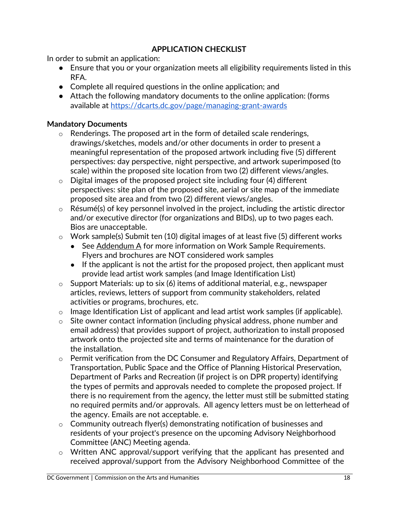## <span id="page-17-0"></span>**APPLICATION CHECKLIST**

In order to submit an application:

- Ensure that you or your organization meets all eligibility requirements listed in this RFA.
- Complete all required questions in the online application; and
- Attach the following mandatory documents to the online application: (forms available at https://dcarts.dc.gov/page/managing-grant-awards

#### **Mandatory Documents**

- $\circ$  Renderings. The proposed art in the form of detailed scale renderings, drawings/sketches, models and/or other documents in order to present a meaningful representation of the proposed artwork including five (5) different perspectives: day perspective, night perspective, and artwork superimposed (to scale) within the proposed site location from two (2) different views/angles.
- $\circ$  Digital images of the proposed project site including four (4) different perspectives: site plan of the proposed site, aerial or site map of the immediate proposed site area and from two (2) different views/angles.
- o Résumé(s) of key personnel involved in the project, including the artistic director and/or executive director (for organizations and BIDs), up to two pages each. Bios are unacceptable.
- $\circ$  Work sample(s) Submit ten (10) digital images of at least five (5) different works
	- See Addendum A for more information on Work Sample Requirements. Flyers and brochures are NOT considered work samples
	- If the applicant is not the artist for the proposed project, then applicant must provide lead artist work samples (and Image Identification List)
- $\circ$  Support Materials: up to six (6) items of additional material, e.g., newspaper articles, reviews, letters of support from community stakeholders, related activities or programs, brochures, etc.
- o Image Identification List of applicant and lead artist work samples (if applicable).
- o Site owner contact information (including physical address, phone number and email address) that provides support of project, authorization to install proposed artwork onto the projected site and terms of maintenance for the duration of the installation.
- o Permit verification from the DC Consumer and Regulatory Affairs, Department of Transportation, Public Space and the Office of Planning Historical Preservation, Department of Parks and Recreation (if project is on DPR property) identifying the types of permits and approvals needed to complete the proposed project. If there is no requirement from the agency, the letter must still be submitted stating no required permits and/or approvals. All agency letters must be on letterhead of the agency. Emails are not acceptable. e.
- o Community outreach flyer(s) demonstrating notification of businesses and residents of your project's presence on the upcoming Advisory Neighborhood Committee (ANC) Meeting agenda.
- o Written ANC approval/support verifying that the applicant has presented and received approval/support from the Advisory Neighborhood Committee of the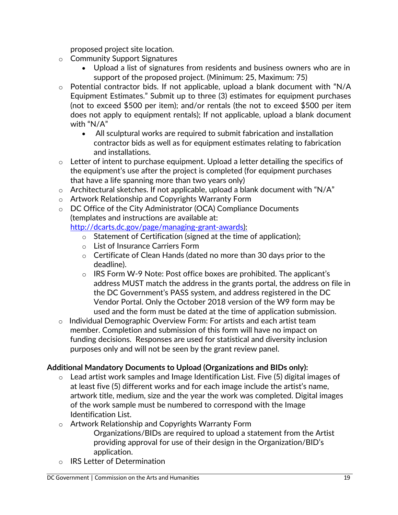proposed project site location.

- o Community Support Signatures
	- Upload a list of signatures from residents and business owners who are in support of the proposed project. (Minimum: 25, Maximum: 75)
- $\circ$  Potential contractor bids. If not applicable, upload a blank document with "N/A Equipment Estimates." Submit up to three (3) estimates for equipment purchases (not to exceed \$500 per item); and/or rentals (the not to exceed \$500 per item does not apply to equipment rentals); If not applicable, upload a blank document with "N/A"
	- All sculptural works are required to submit fabrication and installation contractor bids as well as for equipment estimates relating to fabrication and installations.
- o Letter of intent to purchase equipment. Upload a letter detailing the specifics of the equipment's use after the project is completed (for equipment purchases that have a life spanning more than two years only)
- $\circ$  Architectural sketches. If not applicable, upload a blank document with "N/A"
- o Artwork Relationship and Copyrights Warranty Form

o DC Office of the City Administrator (OCA) Compliance Documents (templates and instructions are available at: [http://dcarts.dc.gov/page/managing-grant-awards\):](http://dcarts.dc.gov/page/managing-grant-awards))

- $\circ$  Statement of Certification (signed at the time of application);
- o List of Insurance Carriers Form
- o Certificate of Clean Hands (dated no more than 30 days prior to the deadline).
- o IRS Form W-9 Note: Post office boxes are prohibited. The applicant's address MUST match the address in the grants portal, the address on file in the DC Government's PASS system, and address registered in the DC Vendor Portal. Only the October 2018 version of the W9 form may be used and the form must be dated at the time of application submission.
- $\circ$  Individual Demographic Overview Form: For artists and each artist team member. Completion and submission of this form will have no impact on funding decisions. Responses are used for statistical and diversity inclusion purposes only and will not be seen by the grant review panel.

### **Additional Mandatory Documents to Upload (Organizations and BIDs only):**

- o Lead artist work samples and Image Identification List. Five (5) digital images of at least five (5) different works and for each image include the artist's name, artwork title, medium, size and the year the work was completed. Digital images of the work sample must be numbered to correspond with the Image Identification List.
- o Artwork Relationship and Copyrights Warranty Form
	- Organizations/BIDs are required to upload a statement from the Artist providing approval for use of their design in the Organization/BID's application.
- **IRS Letter of Determination**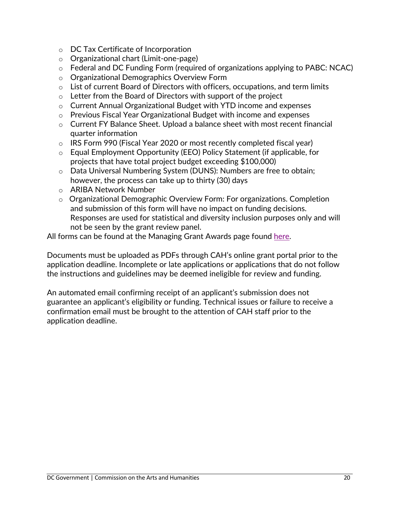- o DC Tax Certificate of Incorporation
- o Organizational chart (Limit-one-page)
- o Federal and DC Funding Form (required of organizations applying to PABC: NCAC)
- o Organizational Demographics Overview Form
- $\circ$  List of current Board of Directors with officers, occupations, and term limits
- $\circ$  Letter from the Board of Directors with support of the project
- o Current Annual Organizational Budget with YTD income and expenses
- o Previous Fiscal Year Organizational Budget with income and expenses
- $\circ$  Current FY Balance Sheet. Upload a balance sheet with most recent financial quarter information
- o IRS Form 990 (Fiscal Year 2020 or most recently completed fiscal year)
- o Equal Employment Opportunity (EEO) Policy Statement (if applicable, for projects that have total project budget exceeding \$100,000)
- $\circ$  Data Universal Numbering System (DUNS): Numbers are free to obtain; however, the process can take up to thirty (30) days
- o ARIBA Network Number
- $\circ$  Organizational Demographic Overview Form: For organizations. Completion and submission of this form will have no impact on funding decisions. Responses are used for statistical and diversity inclusion purposes only and will not be seen by the grant review panel.

All forms can be found at the Managing Grant Awards page found [here](https://dcarts.dc.gov/page/grantee-resources1).

Documents must be uploaded as PDFs through CAH's online grant portal prior to the application deadline. Incomplete or late applications or applications that do not follow the instructions and guidelines may be deemed ineligible for review and funding.

An automated email confirming receipt of an applicant's submission does not guarantee an applicant's eligibility or funding. Technical issues or failure to receive a confirmation email must be brought to the attention of CAH staff prior to the application deadline.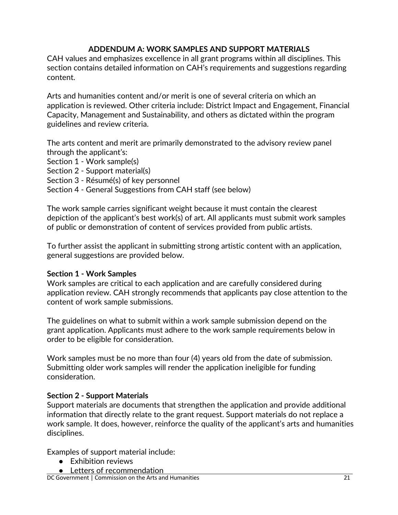#### <span id="page-20-0"></span>**ADDENDUM A: WORK SAMPLES AND SUPPORT MATERIALS**

CAH values and emphasizes excellence in all grant programs within all disciplines. This section contains detailed information on CAH's requirements and suggestions regarding content.

Arts and humanities content and/or merit is one of several criteria on which an application is reviewed. Other criteria include: District Impact and Engagement, Financial Capacity, Management and Sustainability, and others as dictated within the program guidelines and review criteria.

The arts content and merit are primarily demonstrated to the advisory review panel through the applicant's:

- Section 1 Work sample(s)
- Section 2 Support material(s)
- Section 3 Résumé(s) of key personnel

Section 4 - General Suggestions from CAH staff (see below)

The work sample carries significant weight because it must contain the clearest depiction of the applicant's best work(s) of art. All applicants must submit work samples of public or demonstration of content of services provided from public artists.

To further assist the applicant in submitting strong artistic content with an application, general suggestions are provided below.

#### **Section 1 - Work Samples**

Work samples are critical to each application and are carefully considered during application review. CAH strongly recommends that applicants pay close attention to the content of work sample submissions.

The guidelines on what to submit within a work sample submission depend on the grant application. Applicants must adhere to the work sample requirements below in order to be eligible for consideration.

Work samples must be no more than four (4) years old from the date of submission. Submitting older work samples will render the application ineligible for funding consideration.

#### **Section 2 - Support Materials**

Support materials are documents that strengthen the application and provide additional information that directly relate to the grant request. Support materials do not replace a work sample. It does, however, reinforce the quality of the applicant's arts and humanities disciplines.

Examples of support material include:

- Exhibition reviews
- Letters of recommendation

DC Government | Commission on the Arts and Humanities 21